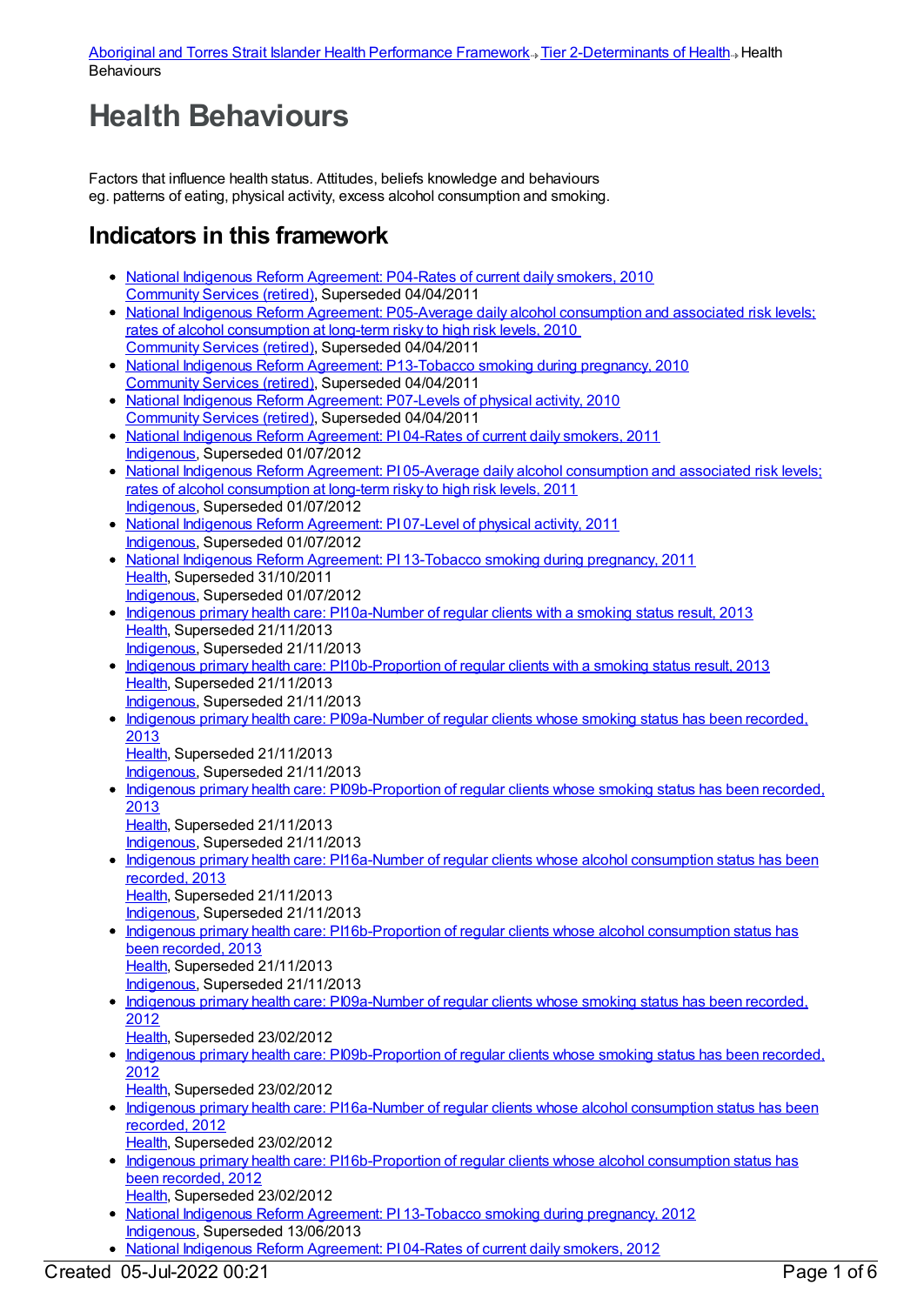## **Health Behaviours**

Factors that influence health status. Attitudes, beliefs knowledge and behaviours eg. patterns of eating, physical activity, excess alcohol consumption and smoking.

## **Indicators in this framework**

- National Indigenous Reform [Agreement:](https://meteor.aihw.gov.au/content/396393) P04-Rates of current daily smokers, 2010 [Community](https://meteor.aihw.gov.au/RegistrationAuthority/1) Services (retired), Superseded 04/04/2011
- National Indigenous Reform Agreement: [P05-Average](https://meteor.aihw.gov.au/content/396434) daily alcohol consumption and associated risk levels; rates of alcohol consumption at long-term risky to high risk levels, 2010 [Community](https://meteor.aihw.gov.au/RegistrationAuthority/1) Services (retired), Superseded 04/04/2011
- National Indigenous Reform Agreement: [P13-Tobacco](https://meteor.aihw.gov.au/content/396570) smoking during pregnancy, 2010 [Community](https://meteor.aihw.gov.au/RegistrationAuthority/1) Services (retired), Superseded 04/04/2011
- National Indigenous Reform [Agreement:](https://meteor.aihw.gov.au/content/396450) P07-Levels of physical activity, 2010 [Community](https://meteor.aihw.gov.au/RegistrationAuthority/1) Services (retired), Superseded 04/04/2011
- National Indigenous Reform [Agreement:](https://meteor.aihw.gov.au/content/425769) PI 04-Rates of current daily smokers, 2011 [Indigenous](https://meteor.aihw.gov.au/RegistrationAuthority/6), Superseded 01/07/2012
- National Indigenous Reform Agreement: PI 05-Average daily alcohol [consumption](https://meteor.aihw.gov.au/content/425744) and associated risk levels; rates of alcohol consumption at long-term risky to high risk levels, 2011 [Indigenous](https://meteor.aihw.gov.au/RegistrationAuthority/6), Superseded 01/07/2012
- National Indigenous Reform [Agreement:](https://meteor.aihw.gov.au/content/425750) PI 07-Level of physical activity, 2011 [Indigenous](https://meteor.aihw.gov.au/RegistrationAuthority/6), Superseded 01/07/2012
- National Indigenous Reform Agreement: PI [13-Tobacco](https://meteor.aihw.gov.au/content/425773) smoking during pregnancy, 2011 [Health](https://meteor.aihw.gov.au/RegistrationAuthority/12), Superseded 31/10/2011 [Indigenous](https://meteor.aihw.gov.au/RegistrationAuthority/6), Superseded 01/07/2012
- Indigenous primary health care: [PI10a-Number](https://meteor.aihw.gov.au/content/431736) of regular clients with a smoking status result, 2013 [Health](https://meteor.aihw.gov.au/RegistrationAuthority/12), Superseded 21/11/2013 [Indigenous](https://meteor.aihw.gov.au/RegistrationAuthority/6), Superseded 21/11/2013
- Indigenous primary health care: [PI10b-Proportion](https://meteor.aihw.gov.au/content/441560) of regular clients with a smoking status result, 2013 [Health](https://meteor.aihw.gov.au/RegistrationAuthority/12), Superseded 21/11/2013 [Indigenous](https://meteor.aihw.gov.au/RegistrationAuthority/6), Superseded 21/11/2013
- Indigenous primary health care: [PI09a-Number](https://meteor.aihw.gov.au/content/468111) of regular clients whose smoking status has been recorded, 2013 [Health](https://meteor.aihw.gov.au/RegistrationAuthority/12), Superseded 21/11/2013

[Indigenous](https://meteor.aihw.gov.au/RegistrationAuthority/6), Superseded 21/11/2013

- Indigenous primary health care: [PI09b-Proportion](https://meteor.aihw.gov.au/content/468114) of regular clients whose smoking status has been recorded, 2013
	- [Health](https://meteor.aihw.gov.au/RegistrationAuthority/12), Superseded 21/11/2013 [Indigenous](https://meteor.aihw.gov.au/RegistrationAuthority/6), Superseded 21/11/2013
- Indigenous primary health care: [PI16a-Number](https://meteor.aihw.gov.au/content/468121) of regular clients whose alcohol consumption status has been recorded, 2013 [Health](https://meteor.aihw.gov.au/RegistrationAuthority/12), Superseded 21/11/2013
	- [Indigenous](https://meteor.aihw.gov.au/RegistrationAuthority/6), Superseded 21/11/2013
- Indigenous primary health care: [PI16b-Proportion](https://meteor.aihw.gov.au/content/468123) of regular clients whose alcohol consumption status has been recorded, 2013 [Health](https://meteor.aihw.gov.au/RegistrationAuthority/12), Superseded 21/11/2013 [Indigenous](https://meteor.aihw.gov.au/RegistrationAuthority/6), Superseded 21/11/2013
- Indigenous primary health care: [PI09a-Number](https://meteor.aihw.gov.au/content/431125) of regular clients whose smoking status has been recorded, 2012
- [Health](https://meteor.aihw.gov.au/RegistrationAuthority/12), Superseded 23/02/2012
- Indigenous primary health care: [PI09b-Proportion](https://meteor.aihw.gov.au/content/435799) of regular clients whose smoking status has been recorded, 2012
- [Health](https://meteor.aihw.gov.au/RegistrationAuthority/12), Superseded 23/02/2012
- Indigenous primary health care: [PI16a-Number](https://meteor.aihw.gov.au/content/438220) of regular clients whose alcohol consumption status has been recorded, 2012 [Health](https://meteor.aihw.gov.au/RegistrationAuthority/12), Superseded 23/02/2012
- Indigenous primary health care: [PI16b-Proportion](https://meteor.aihw.gov.au/content/438224) of regular clients whose alcohol consumption status has been recorded, 2012 [Health](https://meteor.aihw.gov.au/RegistrationAuthority/12), Superseded 23/02/2012
- National Indigenous Reform Agreement: PI [13-Tobacco](https://meteor.aihw.gov.au/content/438635) smoking during pregnancy, 2012 [Indigenous](https://meteor.aihw.gov.au/RegistrationAuthority/6), Superseded 13/06/2013
- National Indigenous Reform [Agreement:](https://meteor.aihw.gov.au/content/438495) PI 04-Rates of current daily smokers, 2012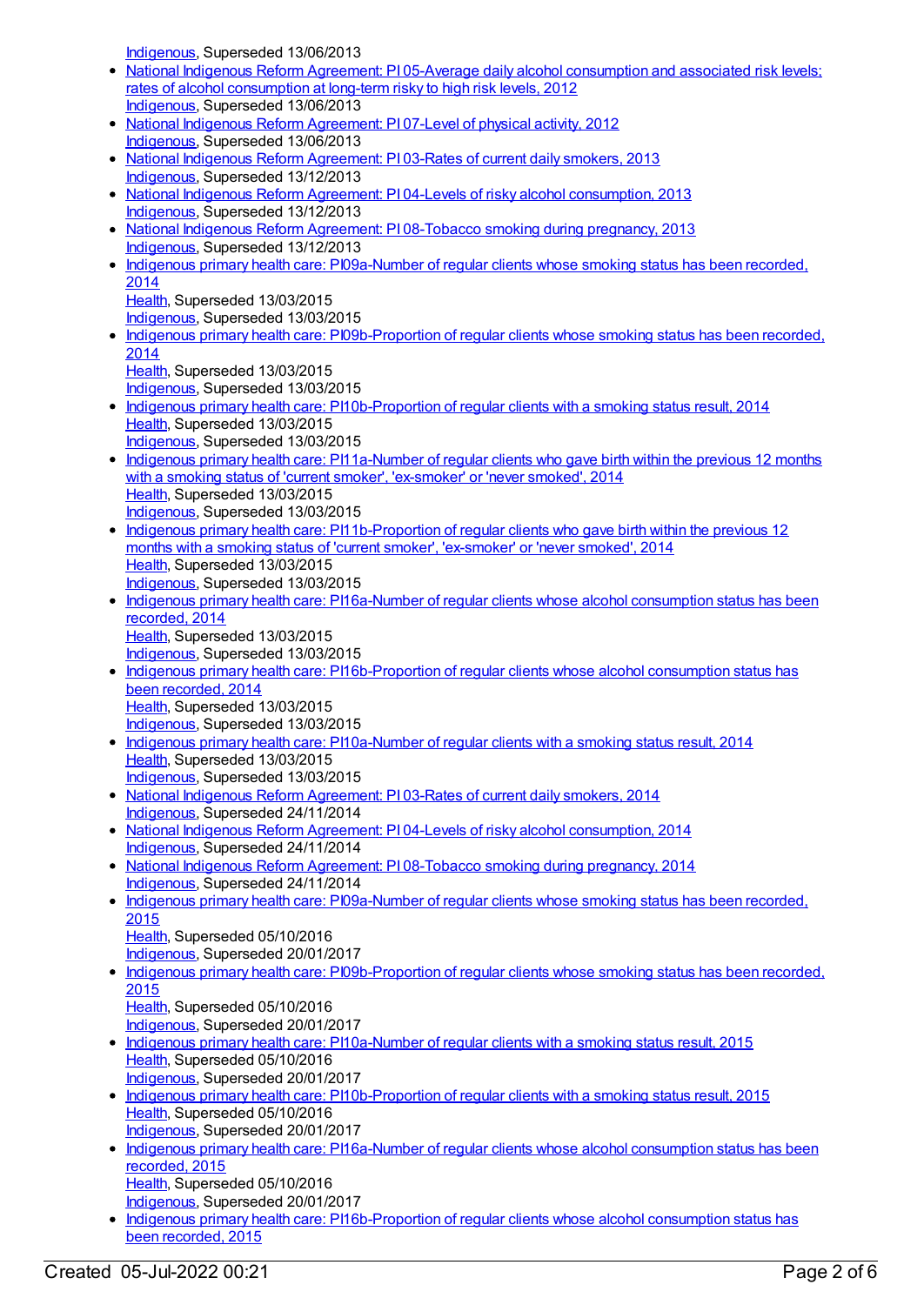[Indigenous](https://meteor.aihw.gov.au/RegistrationAuthority/6), Superseded 13/06/2013

- National Indigenous Reform Agreement: PI 05-Average daily alcohol [consumption](https://meteor.aihw.gov.au/content/438585) and associated risk levels; rates of alcohol consumption at long-term risky to high risk levels, 2012 [Indigenous](https://meteor.aihw.gov.au/RegistrationAuthority/6), Superseded 13/06/2013
- National Indigenous Reform [Agreement:](https://meteor.aihw.gov.au/content/438591) PI 07-Level of physical activity, 2012 [Indigenous](https://meteor.aihw.gov.au/RegistrationAuthority/6), Superseded 13/06/2013
- National Indigenous Reform [Agreement:](https://meteor.aihw.gov.au/content/482972) PI 03-Rates of current daily smokers, 2013 [Indigenous](https://meteor.aihw.gov.au/RegistrationAuthority/6), Superseded 13/12/2013
- National Indigenous Reform Agreement: PI 04-Levels of risky alcohol [consumption,](https://meteor.aihw.gov.au/content/482978) 2013 [Indigenous](https://meteor.aihw.gov.au/RegistrationAuthority/6), Superseded 13/12/2013
- National Indigenous Reform Agreement: PI [08-Tobacco](https://meteor.aihw.gov.au/content/484309) smoking during pregnancy, 2013 [Indigenous](https://meteor.aihw.gov.au/RegistrationAuthority/6), Superseded 13/12/2013
- Indigenous primary health care: [PI09a-Number](https://meteor.aihw.gov.au/content/504710) of regular clients whose smoking status has been recorded, 2014 [Health](https://meteor.aihw.gov.au/RegistrationAuthority/12), Superseded 13/03/2015
	- [Indigenous](https://meteor.aihw.gov.au/RegistrationAuthority/6), Superseded 13/03/2015
- Indigenous primary health care: [PI09b-Proportion](https://meteor.aihw.gov.au/content/504712) of regular clients whose smoking status has been recorded, 2014
	- [Health](https://meteor.aihw.gov.au/RegistrationAuthority/12), Superseded 13/03/2015
- [Indigenous](https://meteor.aihw.gov.au/RegistrationAuthority/6), Superseded 13/03/2015
- Indigenous primary health care: [PI10b-Proportion](https://meteor.aihw.gov.au/content/504716) of regular clients with a smoking status result, 2014 [Health](https://meteor.aihw.gov.au/RegistrationAuthority/12), Superseded 13/03/2015 [Indigenous](https://meteor.aihw.gov.au/RegistrationAuthority/6), Superseded 13/03/2015
- Indigenous primary health care: [PI11a-Number](https://meteor.aihw.gov.au/content/481489) of regular clients who gave birth within the previous 12 months with a smoking status of 'current smoker', 'ex-smoker' or 'never smoked', 2014 [Health](https://meteor.aihw.gov.au/RegistrationAuthority/12), Superseded 13/03/2015 [Indigenous](https://meteor.aihw.gov.au/RegistrationAuthority/6), Superseded 13/03/2015
- Indigenous primary health care: [PI11b-Proportion](https://meteor.aihw.gov.au/content/481494) of regular clients who gave birth within the previous 12 months with a smoking status of 'current smoker', 'ex-smoker' or 'never smoked', 2014 [Health](https://meteor.aihw.gov.au/RegistrationAuthority/12), Superseded 13/03/2015 [Indigenous](https://meteor.aihw.gov.au/RegistrationAuthority/6), Superseded 13/03/2015
- Indigenous primary health care: [PI16a-Number](https://meteor.aihw.gov.au/content/504743) of regular clients whose alcohol consumption status has been recorded, 2014 [Health](https://meteor.aihw.gov.au/RegistrationAuthority/12), Superseded 13/03/2015 [Indigenous](https://meteor.aihw.gov.au/RegistrationAuthority/6), Superseded 13/03/2015
- Indigenous primary health care: [PI16b-Proportion](https://meteor.aihw.gov.au/content/504745) of regular clients whose alcohol consumption status has been recorded, 2014 [Health](https://meteor.aihw.gov.au/RegistrationAuthority/12), Superseded 13/03/2015
	- [Indigenous](https://meteor.aihw.gov.au/RegistrationAuthority/6), Superseded 13/03/2015
- Indigenous primary health care: [PI10a-Number](https://meteor.aihw.gov.au/content/504714) of regular clients with a smoking status result, 2014 [Health](https://meteor.aihw.gov.au/RegistrationAuthority/12), Superseded 13/03/2015
- [Indigenous](https://meteor.aihw.gov.au/RegistrationAuthority/6), Superseded 13/03/2015 • National Indigenous Reform [Agreement:](https://meteor.aihw.gov.au/content/525831) PI 03-Rates of current daily smokers, 2014 [Indigenous](https://meteor.aihw.gov.au/RegistrationAuthority/6), Superseded 24/11/2014
- National Indigenous Reform Agreement: PI 04-Levels of risky alcohol [consumption,](https://meteor.aihw.gov.au/content/525837) 2014 [Indigenous](https://meteor.aihw.gov.au/RegistrationAuthority/6), Superseded 24/11/2014
- National Indigenous Reform Agreement: PI [08-Tobacco](https://meteor.aihw.gov.au/content/525835) smoking during pregnancy, 2014 [Indigenous](https://meteor.aihw.gov.au/RegistrationAuthority/6), Superseded 24/11/2014
- Indigenous primary health care: [PI09a-Number](https://meteor.aihw.gov.au/content/589019) of regular clients whose smoking status has been recorded, 2015
	- [Health](https://meteor.aihw.gov.au/RegistrationAuthority/12), Superseded 05/10/2016
	- [Indigenous](https://meteor.aihw.gov.au/RegistrationAuthority/6), Superseded 20/01/2017
- Indigenous primary health care: [PI09b-Proportion](https://meteor.aihw.gov.au/content/589021) of regular clients whose smoking status has been recorded, 2015 [Health](https://meteor.aihw.gov.au/RegistrationAuthority/12), Superseded 05/10/2016
	- [Indigenous](https://meteor.aihw.gov.au/RegistrationAuthority/6), Superseded 20/01/2017
- Indigenous primary health care: [PI10a-Number](https://meteor.aihw.gov.au/content/589026) of regular clients with a smoking status result, 2015 [Health](https://meteor.aihw.gov.au/RegistrationAuthority/12), Superseded 05/10/2016 [Indigenous](https://meteor.aihw.gov.au/RegistrationAuthority/6), Superseded 20/01/2017
- Indigenous primary health care: [PI10b-Proportion](https://meteor.aihw.gov.au/content/589030) of regular clients with a smoking status result, 2015 [Health](https://meteor.aihw.gov.au/RegistrationAuthority/12), Superseded 05/10/2016 [Indigenous](https://meteor.aihw.gov.au/RegistrationAuthority/6), Superseded 20/01/2017
- Indigenous primary health care: [PI16a-Number](https://meteor.aihw.gov.au/content/589061) of regular clients whose alcohol consumption status has been recorded, 2015 [Health](https://meteor.aihw.gov.au/RegistrationAuthority/12), Superseded 05/10/2016 [Indigenous](https://meteor.aihw.gov.au/RegistrationAuthority/6), Superseded 20/01/2017
- Indigenous primary health care: [PI16b-Proportion](https://meteor.aihw.gov.au/content/589064) of regular clients whose alcohol consumption status has been recorded, 2015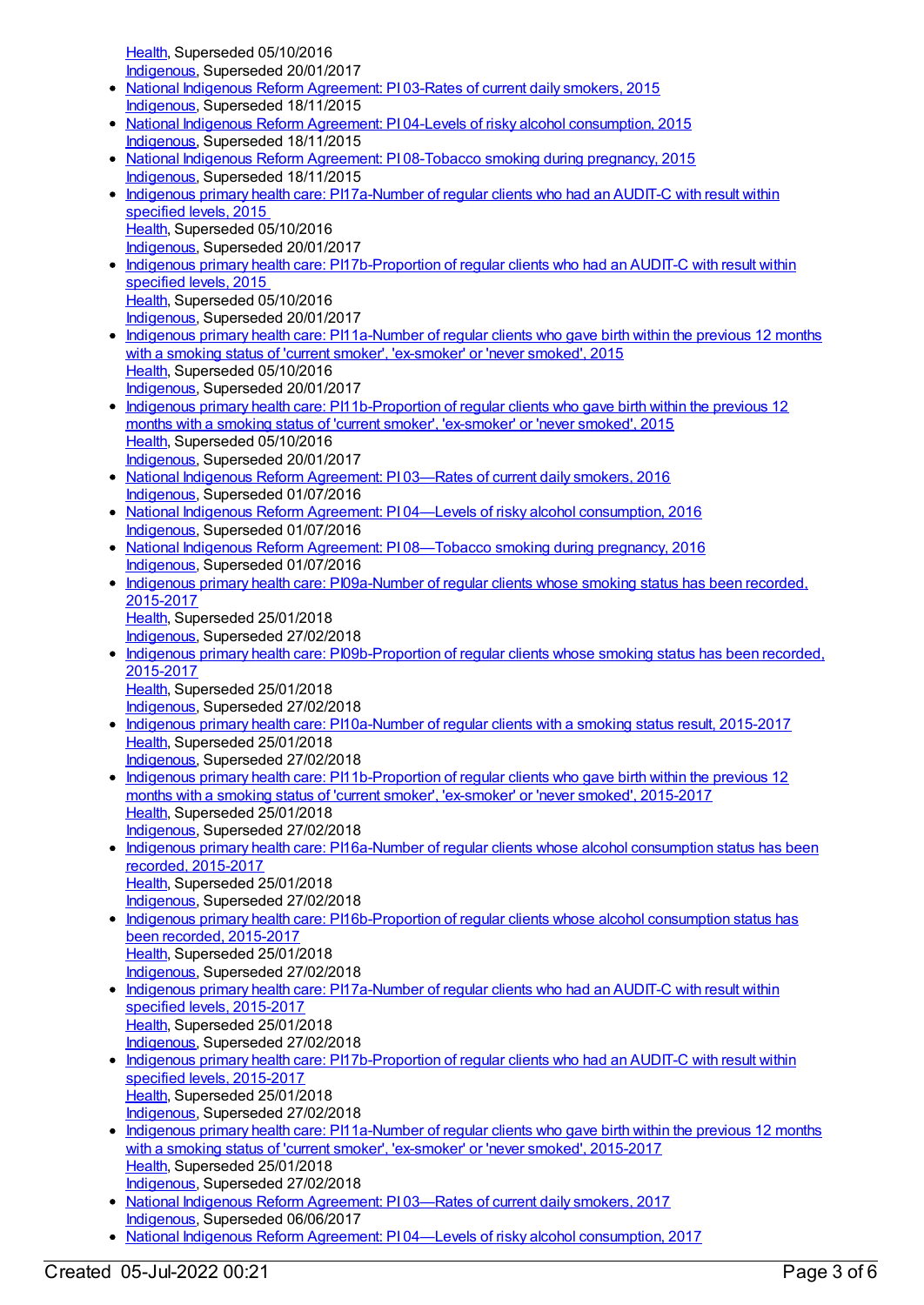[Health](https://meteor.aihw.gov.au/RegistrationAuthority/12), Superseded 05/10/2016 [Indigenous](https://meteor.aihw.gov.au/RegistrationAuthority/6), Superseded 20/01/2017

- National Indigenous Reform [Agreement:](https://meteor.aihw.gov.au/content/579068) PI 03-Rates of current daily smokers, 2015 [Indigenous](https://meteor.aihw.gov.au/RegistrationAuthority/6), Superseded 18/11/2015
- National Indigenous Reform Agreement: PI 04-Levels of risky alcohol [consumption,](https://meteor.aihw.gov.au/content/579070) 2015 [Indigenous](https://meteor.aihw.gov.au/RegistrationAuthority/6), Superseded 18/11/2015
- National Indigenous Reform Agreement: PI [08-Tobacco](https://meteor.aihw.gov.au/content/579078) smoking during pregnancy, 2015 [Indigenous](https://meteor.aihw.gov.au/RegistrationAuthority/6), Superseded 18/11/2015
- Indigenous primary health care: [PI17a-Number](https://meteor.aihw.gov.au/content/591952) of regular clients who had an AUDIT-C with result within specified levels, 2015 [Health](https://meteor.aihw.gov.au/RegistrationAuthority/12), Superseded 05/10/2016 [Indigenous](https://meteor.aihw.gov.au/RegistrationAuthority/6), Superseded 20/01/2017
- Indigenous primary health care: [PI17b-Proportion](https://meteor.aihw.gov.au/content/585006) of regular clients who had an AUDIT-C with result within specified levels, 2015 [Health](https://meteor.aihw.gov.au/RegistrationAuthority/12), Superseded 05/10/2016 [Indigenous](https://meteor.aihw.gov.au/RegistrationAuthority/6), Superseded 20/01/2017
- Indigenous primary health care: [PI11a-Number](https://meteor.aihw.gov.au/content/589035) of regular clients who gave birth within the previous 12 months with a smoking status of 'current smoker', 'ex-smoker' or 'never smoked', 2015 [Health](https://meteor.aihw.gov.au/RegistrationAuthority/12), Superseded 05/10/2016 [Indigenous](https://meteor.aihw.gov.au/RegistrationAuthority/6), Superseded 20/01/2017
- Indigenous primary health care: [PI11b-Proportion](https://meteor.aihw.gov.au/content/589037) of regular clients who gave birth within the previous 12 months with a smoking status of 'current smoker', 'ex-smoker' or 'never smoked', 2015 [Health](https://meteor.aihw.gov.au/RegistrationAuthority/12), Superseded 05/10/2016 [Indigenous](https://meteor.aihw.gov.au/RegistrationAuthority/6), Superseded 20/01/2017
- National Indigenous Reform [Agreement:](https://meteor.aihw.gov.au/content/611151) PI 03—Rates of current daily smokers, 2016 [Indigenous](https://meteor.aihw.gov.au/RegistrationAuthority/6), Superseded 01/07/2016
- National Indigenous Reform Agreement: PI 04—Levels of risky alcohol [consumption,](https://meteor.aihw.gov.au/content/611159) 2016 [Indigenous](https://meteor.aihw.gov.au/RegistrationAuthority/6), Superseded 01/07/2016
- National Indigenous Reform Agreement: PI [08—Tobacco](https://meteor.aihw.gov.au/content/611180) smoking during pregnancy, 2016 [Indigenous](https://meteor.aihw.gov.au/RegistrationAuthority/6), Superseded 01/07/2016
- Indigenous primary health care: [PI09a-Number](https://meteor.aihw.gov.au/content/663863) of regular clients whose smoking status has been recorded. 2015-2017
- [Health](https://meteor.aihw.gov.au/RegistrationAuthority/12), Superseded 25/01/2018 [Indigenous](https://meteor.aihw.gov.au/RegistrationAuthority/6), Superseded 27/02/2018
- Indigenous primary health care: [PI09b-Proportion](https://meteor.aihw.gov.au/content/663866) of regular clients whose smoking status has been recorded, 2015-2017
	- [Health](https://meteor.aihw.gov.au/RegistrationAuthority/12), Superseded 25/01/2018 [Indigenous](https://meteor.aihw.gov.au/RegistrationAuthority/6), Superseded 27/02/2018
- Indigenous primary health care: [PI10a-Number](https://meteor.aihw.gov.au/content/663870) of regular clients with a smoking status result, 2015-2017 [Health](https://meteor.aihw.gov.au/RegistrationAuthority/12), Superseded 25/01/2018 [Indigenous](https://meteor.aihw.gov.au/RegistrationAuthority/6), Superseded 27/02/2018
- Indigenous primary health care: [PI11b-Proportion](https://meteor.aihw.gov.au/content/663876) of regular clients who gave birth within the previous 12 months with a smoking status of 'current smoker', 'ex-smoker' or 'never smoked', 2015-2017 [Health](https://meteor.aihw.gov.au/RegistrationAuthority/12), Superseded 25/01/2018 [Indigenous](https://meteor.aihw.gov.au/RegistrationAuthority/6), Superseded 27/02/2018
- Indigenous primary health care: [PI16a-Number](https://meteor.aihw.gov.au/content/663878) of regular clients whose alcohol consumption status has been recorded, 2015-2017 [Health](https://meteor.aihw.gov.au/RegistrationAuthority/12), Superseded 25/01/2018 [Indigenous](https://meteor.aihw.gov.au/RegistrationAuthority/6), Superseded 27/02/2018
- Indigenous primary health care: [PI16b-Proportion](https://meteor.aihw.gov.au/content/663880) of regular clients whose alcohol consumption status has been recorded, 2015-2017 [Health](https://meteor.aihw.gov.au/RegistrationAuthority/12), Superseded 25/01/2018
- [Indigenous](https://meteor.aihw.gov.au/RegistrationAuthority/6), Superseded 27/02/2018 • Indigenous primary health care: [PI17a-Number](https://meteor.aihw.gov.au/content/663963) of regular clients who had an AUDIT-C with result within specified levels, 2015-2017 [Health](https://meteor.aihw.gov.au/RegistrationAuthority/12), Superseded 25/01/2018 [Indigenous](https://meteor.aihw.gov.au/RegistrationAuthority/6), Superseded 27/02/2018
- Indigenous primary health care: [PI17b-Proportion](https://meteor.aihw.gov.au/content/663965) of regular clients who had an AUDIT-C with result within specified levels, 2015-2017 [Health](https://meteor.aihw.gov.au/RegistrationAuthority/12), Superseded 25/01/2018 [Indigenous](https://meteor.aihw.gov.au/RegistrationAuthority/6), Superseded 27/02/2018
- Indigenous primary health care: [PI11a-Number](https://meteor.aihw.gov.au/content/663874) of regular clients who gave birth within the previous 12 months with a smoking status of 'current smoker', 'ex-smoker' or 'never smoked', 2015-2017 [Health](https://meteor.aihw.gov.au/RegistrationAuthority/12), Superseded 25/01/2018 [Indigenous](https://meteor.aihw.gov.au/RegistrationAuthority/6), Superseded 27/02/2018
- National Indigenous Reform [Agreement:](https://meteor.aihw.gov.au/content/645387) PI 03—Rates of current daily smokers, 2017 [Indigenous](https://meteor.aihw.gov.au/RegistrationAuthority/6), Superseded 06/06/2017
- National Indigenous Reform Agreement: PI 04—Levels of risky alcohol [consumption,](https://meteor.aihw.gov.au/content/645389) 2017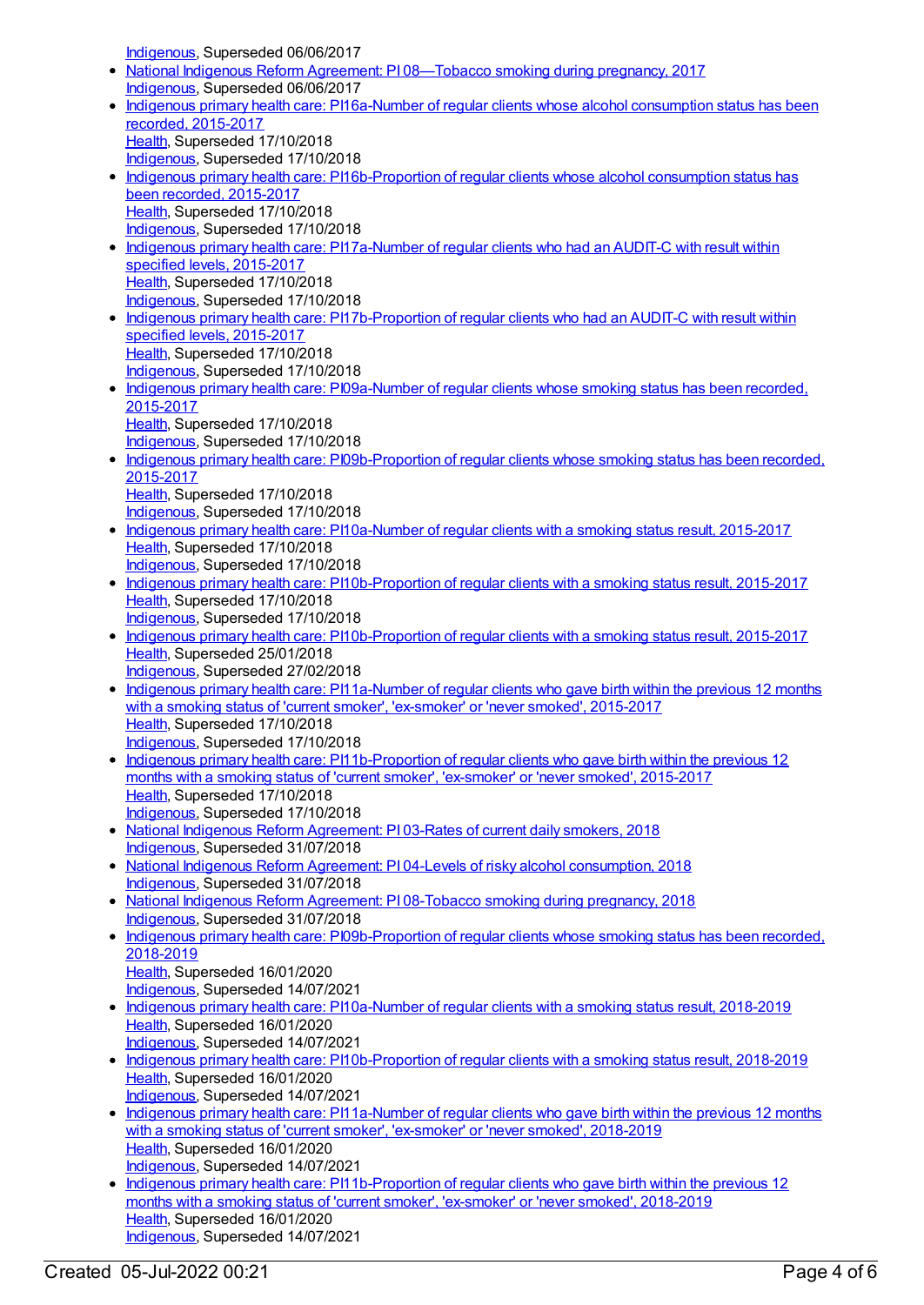[Indigenous](https://meteor.aihw.gov.au/RegistrationAuthority/6), Superseded 06/06/2017

- National Indigenous Reform Agreement: PI 08-Tobacco smoking during pregnancy, 2017 [Indigenous](https://meteor.aihw.gov.au/RegistrationAuthority/6), Superseded 06/06/2017
- Indigenous primary health care: [PI16a-Number](https://meteor.aihw.gov.au/content/686354) of regular clients whose alcohol consumption status has been recorded, 2015-2017 [Health](https://meteor.aihw.gov.au/RegistrationAuthority/12), Superseded 17/10/2018 [Indigenous](https://meteor.aihw.gov.au/RegistrationAuthority/6), Superseded 17/10/2018
- Indigenous primary health care: [PI16b-Proportion](https://meteor.aihw.gov.au/content/686399) of regular clients whose alcohol consumption status has been recorded, 2015-2017 [Health](https://meteor.aihw.gov.au/RegistrationAuthority/12), Superseded 17/10/2018 [Indigenous](https://meteor.aihw.gov.au/RegistrationAuthority/6), Superseded 17/10/2018
- Indigenous primary health care: [PI17a-Number](https://meteor.aihw.gov.au/content/686358) of regular clients who had an AUDIT-C with result within specified levels, 2015-2017 [Health](https://meteor.aihw.gov.au/RegistrationAuthority/12), Superseded 17/10/2018 [Indigenous](https://meteor.aihw.gov.au/RegistrationAuthority/6), Superseded 17/10/2018
- Indigenous primary health care: [PI17b-Proportion](https://meteor.aihw.gov.au/content/686360) of regular clients who had an AUDIT-C with result within specified levels, 2015-2017 [Health](https://meteor.aihw.gov.au/RegistrationAuthority/12), Superseded 17/10/2018 [Indigenous](https://meteor.aihw.gov.au/RegistrationAuthority/6), Superseded 17/10/2018
- Indigenous primary health care: [PI09a-Number](https://meteor.aihw.gov.au/content/686447) of regular clients whose smoking status has been recorded, 2015-2017 [Health](https://meteor.aihw.gov.au/RegistrationAuthority/12), Superseded 17/10/2018 [Indigenous](https://meteor.aihw.gov.au/RegistrationAuthority/6), Superseded 17/10/2018
- Indigenous primary health care: [PI09b-Proportion](https://meteor.aihw.gov.au/content/686451) of regular clients whose smoking status has been recorded, 2015-2017 [Health](https://meteor.aihw.gov.au/RegistrationAuthority/12), Superseded 17/10/2018 [Indigenous](https://meteor.aihw.gov.au/RegistrationAuthority/6), Superseded 17/10/2018
- Indigenous primary health care: [PI10a-Number](https://meteor.aihw.gov.au/content/686454) of regular clients with a smoking status result, 2015-2017 [Health](https://meteor.aihw.gov.au/RegistrationAuthority/12), Superseded 17/10/2018 [Indigenous](https://meteor.aihw.gov.au/RegistrationAuthority/6), Superseded 17/10/2018
- Indigenous primary health care: [PI10b-Proportion](https://meteor.aihw.gov.au/content/686456) of regular clients with a smoking status result, 2015-2017 [Health](https://meteor.aihw.gov.au/RegistrationAuthority/12), Superseded 17/10/2018
- [Indigenous](https://meteor.aihw.gov.au/RegistrationAuthority/6), Superseded 17/10/2018 • Indigenous primary health care: [PI10b-Proportion](https://meteor.aihw.gov.au/content/663872) of regular clients with a smoking status result, 2015-2017 [Health](https://meteor.aihw.gov.au/RegistrationAuthority/12), Superseded 25/01/2018 [Indigenous](https://meteor.aihw.gov.au/RegistrationAuthority/6), Superseded 27/02/2018
- Indigenous primary health care: [PI11a-Number](https://meteor.aihw.gov.au/content/686460) of regular clients who gave birth within the previous 12 months with a smoking status of 'current smoker', 'ex-smoker' or 'never smoked', 2015-2017 [Health](https://meteor.aihw.gov.au/RegistrationAuthority/12), Superseded 17/10/2018 [Indigenous](https://meteor.aihw.gov.au/RegistrationAuthority/6), Superseded 17/10/2018
- Indigenous primary health care: [PI11b-Proportion](https://meteor.aihw.gov.au/content/686465) of regular clients who gave birth within the previous 12 months with a smoking status of 'current smoker', 'ex-smoker' or 'never smoked', 2015-2017 [Health](https://meteor.aihw.gov.au/RegistrationAuthority/12), Superseded 17/10/2018 [Indigenous](https://meteor.aihw.gov.au/RegistrationAuthority/6), Superseded 17/10/2018
- National Indigenous Reform [Agreement:](https://meteor.aihw.gov.au/content/668668) PI 03-Rates of current daily smokers, 2018 [Indigenous](https://meteor.aihw.gov.au/RegistrationAuthority/6), Superseded 31/07/2018
- National Indigenous Reform Agreement: PI 04-Levels of risky alcohol [consumption,](https://meteor.aihw.gov.au/content/668670) 2018 [Indigenous](https://meteor.aihw.gov.au/RegistrationAuthority/6), Superseded 31/07/2018
- National Indigenous Reform Agreement: PI [08-Tobacco](https://meteor.aihw.gov.au/content/668672) smoking during pregnancy, 2018 [Indigenous](https://meteor.aihw.gov.au/RegistrationAuthority/6), Superseded 31/07/2018
- Indigenous primary health care: [PI09b-Proportion](https://meteor.aihw.gov.au/content/687959) of regular clients whose smoking status has been recorded, 2018-2019 [Health](https://meteor.aihw.gov.au/RegistrationAuthority/12), Superseded 16/01/2020 [Indigenous](https://meteor.aihw.gov.au/RegistrationAuthority/6), Superseded 14/07/2021
- Indigenous primary health care: [PI10a-Number](https://meteor.aihw.gov.au/content/687961) of regular clients with a smoking status result, 2018-2019 [Health](https://meteor.aihw.gov.au/RegistrationAuthority/12), Superseded 16/01/2020 [Indigenous](https://meteor.aihw.gov.au/RegistrationAuthority/6), Superseded 14/07/2021
- Indigenous primary health care: [PI10b-Proportion](https://meteor.aihw.gov.au/content/687963) of regular clients with a smoking status result, 2018-2019 [Health](https://meteor.aihw.gov.au/RegistrationAuthority/12), Superseded 16/01/2020 [Indigenous](https://meteor.aihw.gov.au/RegistrationAuthority/6), Superseded 14/07/2021
- Indigenous primary health care: [PI11a-Number](https://meteor.aihw.gov.au/content/687966) of regular clients who gave birth within the previous 12 months with a smoking status of 'current smoker', 'ex-smoker' or 'never smoked', 2018-2019 [Health](https://meteor.aihw.gov.au/RegistrationAuthority/12), Superseded 16/01/2020 [Indigenous](https://meteor.aihw.gov.au/RegistrationAuthority/6), Superseded 14/07/2021
- Indigenous primary health care: [PI11b-Proportion](https://meteor.aihw.gov.au/content/687968) of regular clients who gave birth within the previous 12 months with a smoking status of 'current smoker', 'ex-smoker' or 'never smoked', 2018-2019 [Health](https://meteor.aihw.gov.au/RegistrationAuthority/12), Superseded 16/01/2020 [Indigenous](https://meteor.aihw.gov.au/RegistrationAuthority/6), Superseded 14/07/2021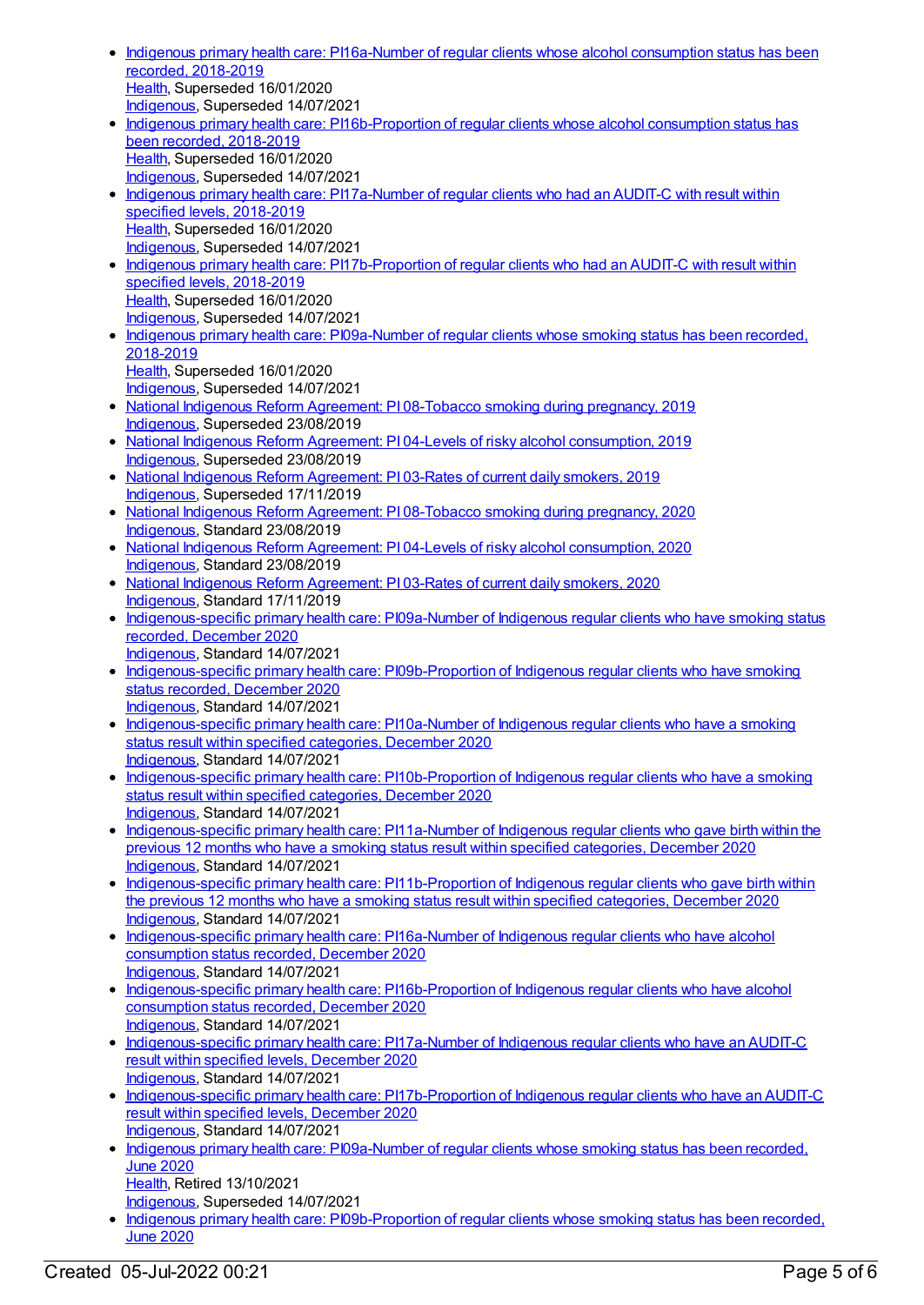- Indigenous primary health care: [PI16a-Number](https://meteor.aihw.gov.au/content/687988) of regular clients whose alcohol consumption status has been recorded, 2018-2019 [Health](https://meteor.aihw.gov.au/RegistrationAuthority/12), Superseded 16/01/2020 [Indigenous](https://meteor.aihw.gov.au/RegistrationAuthority/6), Superseded 14/07/2021 • Indigenous primary health care: [PI16b-Proportion](https://meteor.aihw.gov.au/content/687990) of regular clients whose alcohol consumption status has
- been recorded, 2018-2019 [Health](https://meteor.aihw.gov.au/RegistrationAuthority/12), Superseded 16/01/2020 [Indigenous](https://meteor.aihw.gov.au/RegistrationAuthority/6), Superseded 14/07/2021
- Indigenous primary health care: [PI17a-Number](https://meteor.aihw.gov.au/content/687992) of regular clients who had an AUDIT-C with result within specified levels, 2018-2019 [Health](https://meteor.aihw.gov.au/RegistrationAuthority/12), Superseded 16/01/2020 [Indigenous](https://meteor.aihw.gov.au/RegistrationAuthority/6), Superseded 14/07/2021
- Indigenous primary health care: [PI17b-Proportion](https://meteor.aihw.gov.au/content/687994) of regular clients who had an AUDIT-C with result within specified levels, 2018-2019 [Health](https://meteor.aihw.gov.au/RegistrationAuthority/12), Superseded 16/01/2020 [Indigenous](https://meteor.aihw.gov.au/RegistrationAuthority/6), Superseded 14/07/2021
- Indigenous primary health care: [PI09a-Number](https://meteor.aihw.gov.au/content/687957) of regular clients whose smoking status has been recorded. 2018-2019 [Health](https://meteor.aihw.gov.au/RegistrationAuthority/12), Superseded 16/01/2020 [Indigenous](https://meteor.aihw.gov.au/RegistrationAuthority/6), Superseded 14/07/2021
- National Indigenous Reform Agreement: PI [08-Tobacco](https://meteor.aihw.gov.au/content/699456) smoking during pregnancy, 2019 [Indigenous](https://meteor.aihw.gov.au/RegistrationAuthority/6), Superseded 23/08/2019
- National Indigenous Reform Agreement: PI 04-Levels of risky alcohol [consumption,](https://meteor.aihw.gov.au/content/697285) 2019 [Indigenous](https://meteor.aihw.gov.au/RegistrationAuthority/6), Superseded 23/08/2019
- National Indigenous Reform [Agreement:](https://meteor.aihw.gov.au/content/697098) PI 03-Rates of current daily smokers, 2019 [Indigenous](https://meteor.aihw.gov.au/RegistrationAuthority/6), Superseded 17/11/2019
- National Indigenous Reform Agreement: PI [08-Tobacco](https://meteor.aihw.gov.au/content/718486) smoking during pregnancy, 2020 [Indigenous](https://meteor.aihw.gov.au/RegistrationAuthority/6), Standard 23/08/2019
- National Indigenous Reform Agreement: PI 04-Levels of risky alcohol [consumption,](https://meteor.aihw.gov.au/content/718478) 2020 [Indigenous](https://meteor.aihw.gov.au/RegistrationAuthority/6), Standard 23/08/2019
- National Indigenous Reform [Agreement:](https://meteor.aihw.gov.au/content/718475) PI 03-Rates of current daily smokers, 2020 [Indigenous](https://meteor.aihw.gov.au/RegistrationAuthority/6), Standard 17/11/2019
- [Indigenous-specific](https://meteor.aihw.gov.au/content/739361) primary health care: PI09a-Number of Indigenous regular clients who have smoking status recorded, December 2020 [Indigenous](https://meteor.aihw.gov.au/RegistrationAuthority/6), Standard 14/07/2021
- [Indigenous-specific](https://meteor.aihw.gov.au/content/739363) primary health care: PI09b-Proportion of Indigenous regular clients who have smoking status recorded, December 2020 [Indigenous](https://meteor.aihw.gov.au/RegistrationAuthority/6), Standard 14/07/2021
- [Indigenous-specific](https://meteor.aihw.gov.au/content/739370) primary health care: PI10a-Number of Indigenous regular clients who have a smoking status result within specified categories, December 2020 [Indigenous](https://meteor.aihw.gov.au/RegistrationAuthority/6), Standard 14/07/2021
- [Indigenous-specific](https://meteor.aihw.gov.au/content/739372) primary health care: PI10b-Proportion of Indigenous regular clients who have a smoking status result within specified categories, December 2020 [Indigenous](https://meteor.aihw.gov.au/RegistrationAuthority/6), Standard 14/07/2021
- [Indigenous-specific](https://meteor.aihw.gov.au/content/739375) primary health care: PI11a-Number of Indigenous regular clients who gave birth within the previous 12 months who have a smoking status result within specified categories, December 2020 [Indigenous](https://meteor.aihw.gov.au/RegistrationAuthority/6), Standard 14/07/2021
- [Indigenous-specific](https://meteor.aihw.gov.au/content/739380) primary health care: PI11b-Proportion of Indigenous regular clients who gave birth within the previous 12 months who have a smoking status result within specified categories, December 2020 [Indigenous](https://meteor.aihw.gov.au/RegistrationAuthority/6), Standard 14/07/2021
- [Indigenous-specific](https://meteor.aihw.gov.au/content/739402) primary health care: PI16a-Number of Indigenous regular clients who have alcohol consumption status recorded, December 2020 [Indigenous](https://meteor.aihw.gov.au/RegistrationAuthority/6), Standard 14/07/2021
- [Indigenous-specific](https://meteor.aihw.gov.au/content/739405) primary health care: PI16b-Proportion of Indigenous regular clients who have alcohol consumption status recorded, December 2020 [Indigenous](https://meteor.aihw.gov.au/RegistrationAuthority/6), Standard 14/07/2021
- [Indigenous-specific](https://meteor.aihw.gov.au/content/739423) primary health care: PI17a-Number of Indigenous regular clients who have an AUDIT-C result within specified levels, December 2020 [Indigenous](https://meteor.aihw.gov.au/RegistrationAuthority/6), Standard 14/07/2021
- [Indigenous-specific](https://meteor.aihw.gov.au/content/739426) primary health care: PI17b-Proportion of Indigenous regular clients who have an AUDIT-C result within specified levels, December 2020 [Indigenous](https://meteor.aihw.gov.au/RegistrationAuthority/6), Standard 14/07/2021
- Indigenous primary health care: [PI09a-Number](https://meteor.aihw.gov.au/content/717300) of regular clients whose smoking status has been recorded, June 2020 [Health](https://meteor.aihw.gov.au/RegistrationAuthority/12), Retired 13/10/2021
- [Indigenous](https://meteor.aihw.gov.au/RegistrationAuthority/6), Superseded 14/07/2021
- Indigenous primary health care: [PI09b-Proportion](https://meteor.aihw.gov.au/content/717302) of regular clients whose smoking status has been recorded, June 2020